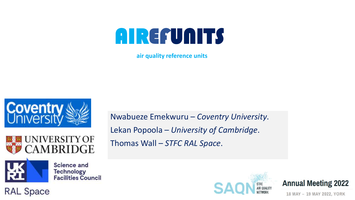**air quality reference units** 







**RAL Space** 

Nwabueze Emekwuru – *Coventry University*. Lekan Popoola – *University of Cambridge*. Thomas Wall – *STFC RAL Space*.





18 MAY - 19 MAY 2022, YORK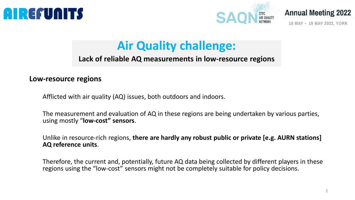





18 MAY - 19 MAY 2022, YORK

## **Air Quality challenge:**

#### **Lack of reliable AQ measurements in low-resource regions**

#### **Low-resource regions**

Afflicted with air quality (AQ) issues, both outdoors and indoors.

The measurement and evaluation of AQ in these regions are being undertaken by various parties, using mostly "**low-cost" sensors**.

Unlike in resource-rich regions, **there are hardly any robust public or private [e.g. AURN stations] AQ reference units**.

Therefore, the current and, potentially, future AQ data being collected by different players in these regions using the "low-cost" sensors might not be completely suitable for policy decisions.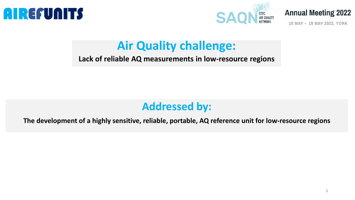





18 MAY - 19 MAY 2022, YORK

### **Air Quality challenge:**

#### **Lack of reliable AQ measurements in low-resource regions**

#### **Addressed by:**

**The development of a highly sensitive, reliable, portable, AQ reference unit for low-resource regions**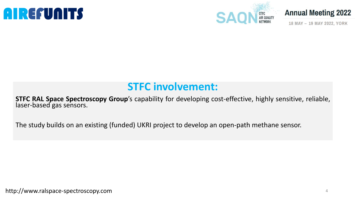



18 MAY - 19 MAY 2022, YORK

#### **STFC involvement:**

**STFC RAL Space Spectroscopy Group**'s capability for developing cost-effective, highly sensitive, reliable, laser-based gas sensors.

The study builds on an existing (funded) UKRI project to develop an open-path methane sensor.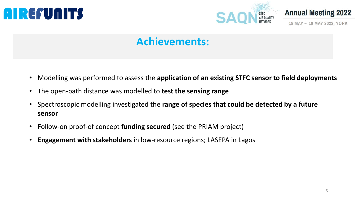

18 MAY - 19 MAY 2022, YORK

#### **Achievements:**

- Modelling was performed to assess the **application of an existing STFC sensor to field deployments**
- The open-path distance was modelled to **test the sensing range**
- Spectroscopic modelling investigated the **range of species that could be detected by a future sensor**
- Follow-on proof-of concept **funding secured** (see the PRIAM project)
- **Engagement with stakeholders** in low-resource regions; LASEPA in Lagos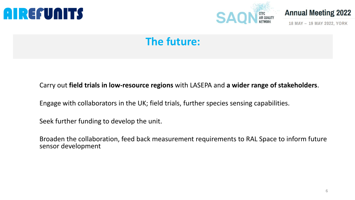





18 MAY - 19 MAY 2022, YORK

### **The future:**

#### Carry out **field trials in low-resource regions** with LASEPA and **a wider range of stakeholders**.

Engage with collaborators in the UK; field trials, further species sensing capabilities.

Seek further funding to develop the unit.

Broaden the collaboration, feed back measurement requirements to RAL Space to inform future sensor development